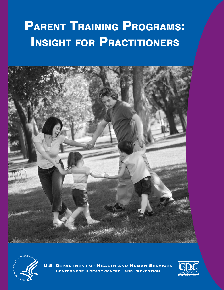# PARENT TRAINING PROGRAMS: **INSIGHT FOR PRACTITIONERS**





U.S. Department of Health and Human Services Centers for Disease control and Prevention

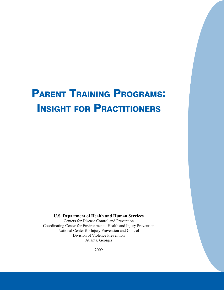# PARENT TRAINING PROGRAMS: **INSIGHT FOR PRACTITIONERS**

**U.S. Department of Health and Human Services**

Centers for Disease Control and Prevention Coordinating Center for Environmental Health and Injury Prevention National Center for Injury Prevention and Control Division of Violence Prevention Atlanta, Georgia

2009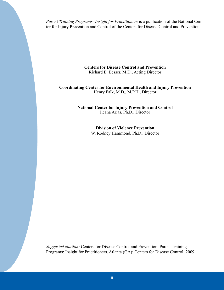*Parent Training Programs: Insight for Practitioners* is a publication of the National Center for Injury Prevention and Control of the Centers for Disease Control and Prevention.

> **Centers for Disease Control and Prevention**  Richard E. Besser, M.D., Acting Director

#### **Coordinating Center for Environmental Health and Injury Prevention**  Henry Falk, M.D., M.P.H., Director

**National Center for Injury Prevention and Control**  Ileana Arias, Ph.D., Director

**Division of Violence Prevention**

W. Rodney Hammond, Ph.D., Director

*Suggested citation:* Centers for Disease Control and Prevention. Parent Training Programs: Insight for Practitioners. Atlanta (GA): Centers for Disease Control; 2009.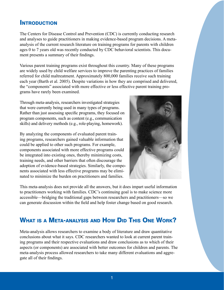## **INTRODUCTION**

The Centers for Disease Control and Prevention (CDC) is currently conducting research and analyses to guide practitioners in making evidence-based program decisions. A metaanalysis of the current research literature on training programs for parents with children ages 0 to 7 years old was recently conducted by CDC behavioral scientists. This document presents a summary of their findings.

Various parent training programs exist throughout this country. Many of these programs are widely used by child welfare services to improve the parenting practices of families referred for child maltreatment. Approximately 800,000 families receive such training each year (Barth et al. 2005). Despite variations in how they are comprised and delivered, the "components" associated with more effective or less effective parent training programs have rarely been examined.

Through meta-analysis, researchers investigated strategies that were currently being used in many types of programs. Rather than just assessing specific programs, they focused on program components, such as content (e.g., communication skills) and delivery methods (e.g., role-playing, homework).

By analyzing the components of evaluated parent training programs, researchers gained valuable information that could be applied to other such programs. For example, components associated with more effective programs could be integrated into existing ones, thereby minimizing costs, training needs, and other barriers that often discourage the adoption of evidence-based strategies. Similarly, the components associated with less effective programs may be eliminated to minimize the burden on practitioners and families.



This meta-analysis does not provide all the answers, but it does impart useful information to practitioners working with families. CDC's continuing goal is to make science more accessible—bridging the traditional gaps between researchers and practitioners—so we can generate discussion within the field and help foster change based on good research.

# WHAT IS A META-ANALYSIS AND HOW DID THIS ONE WORK?

Meta-analysis allows researchers to examine a body of literature and draw quantitative conclusions about what it says. CDC researchers wanted to look at current parent training programs and their respective evaluations and draw conclusions as to which of their aspects (or components) are associated with better outcomes for children and parents. The meta-analysis process allowed researchers to take many different evaluations and aggregate all of their findings.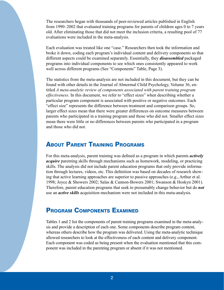The researchers began with thousands of peer-reviewed articles published in English from 1990–2002 that evaluated training programs for parents of children ages 0 to 7 years old. After eliminating those that did not meet the inclusion criteria, a resulting pool of 77 evaluations were included in the meta-analysis.

Each evaluation was treated like one "case." Researchers then took the information and broke it down, coding each program's individual content and delivery components so that different aspects could be examined separately. Essentially, they *disassembled* packaged programs into individual components to see which ones consistently appeared to work well across different programs (See "Components" Table, Page 3).

The statistics from the meta-analysis are not included in this document, but they can be found with other details in the Journal of Abnormal Child Psychology, Volume 36, entitled *A meta-analytic review of components associated with parent training program effectiveness.* In this document, we refer to "effect sizes" when describing whether a particular program component is associated with positive or negative outcomes. Each "effect size" represents the difference between treatment and comparison groups. So, larger effect sizes mean that there were greater differences on outcome measures between parents who participated in a training program and those who did not. Smaller effect sizes mean there were little or no differences between parents who participated in a program and those who did not.

# **ABOUT PARENT TRAINING PROGRAMS**

For this meta-analysis, parent training was defined as a program in which parents *actively acquire* parenting skills through mechanisms such as homework, modeling, or practicing skills. The analysis did not include parent education programs that only provide information through lectures, videos, etc. This definition was based on decades of research showing that active learning approaches are superior to passive approaches (e.g., Arthur et al. 1998; Joyce & Showers 2002; Salas & Cannon-Bowers 2001; Swanson & Hoskyn 2001). Therefore, parent education programs that seek to presumably change behavior but do *not* use an *active skills* acquisition mechanism were not included in this meta-analysis.

# **PROGRAM COMPONENTS EXAMINED**

Tables 1 and 2 list the components of parent training programs examined in the meta-analysis and provide a description of each one. Some components describe program content, whereas others describe how the program was delivered. Using the meta-analytic technique allowed researchers to look at the effectiveness of each content and delivery component. Each component was coded as being present when the evaluation mentioned that this component was included in the parenting program or absent if it was not mentioned.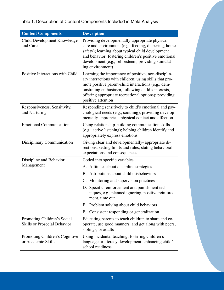## Table 1. Description of Content Components Included in Meta-Analysis

| <b>Content Components</b>                                          | <b>Description</b>                                                                                                                                                                                                                                                                                         |
|--------------------------------------------------------------------|------------------------------------------------------------------------------------------------------------------------------------------------------------------------------------------------------------------------------------------------------------------------------------------------------------|
| Child Development Knowledge<br>and Care                            | Providing developmentally-appropriate physical<br>care and environment (e.g., feeding, diapering, home<br>safety); learning about typical child development<br>and behavior; fostering children's positive emotional<br>development (e.g., self-esteem, providing stimulat-<br>ing environment)            |
| Positive Interactions with Child                                   | Learning the importance of positive, non-disciplin-<br>ary interactions with children; using skills that pro-<br>mote positive parent-child interactions (e.g., dem-<br>onstrating enthusiasm, following child's interests,<br>offering appropriate recreational options); providing<br>positive attention |
| Responsiveness, Sensitivity,<br>and Nurturing                      | Responding sensitively to child's emotional and psy-<br>chological needs (e.g., soothing); providing develop-<br>mentally-appropriate physical contact and affection                                                                                                                                       |
| <b>Emotional Communication</b>                                     | Using relationship-building communication skills<br>(e.g., active listening); helping children identify and<br>appropriately express emotions                                                                                                                                                              |
| Disciplinary Communication                                         | Giving clear and developmentally-appropriate di-<br>rections; setting limits and rules; stating behavioral<br>expectations and consequences                                                                                                                                                                |
| Discipline and Behavior<br>Management                              | Coded into specific variables:                                                                                                                                                                                                                                                                             |
|                                                                    | A. Attitudes about discipline strategies                                                                                                                                                                                                                                                                   |
|                                                                    | B. Attributions about child misbehaviors                                                                                                                                                                                                                                                                   |
|                                                                    | C. Monitoring and supervision practices                                                                                                                                                                                                                                                                    |
|                                                                    | D. Specific reinforcement and punishment tech-<br>niques, e.g., planned ignoring, positive reinforce-<br>ment, time out                                                                                                                                                                                    |
|                                                                    | Problem solving about child behaviors<br>Е.                                                                                                                                                                                                                                                                |
|                                                                    | Consistent responding or generalization<br>F.                                                                                                                                                                                                                                                              |
| Promoting Children's Social<br><b>Skills or Prosocial Behavior</b> | Educating parents to teach children to share and co-<br>operate, use good manners, and get along with peers,<br>siblings, or adults                                                                                                                                                                        |
| Promoting Children's Cognitive<br>or Academic Skills               | Using incidental teaching; fostering children's<br>language or literacy development; enhancing child's<br>school readiness                                                                                                                                                                                 |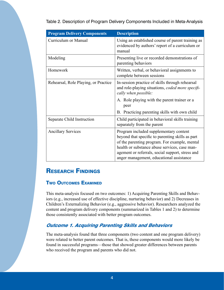Table 2. Description of Program Delivery Components Included in Meta-Analysis

| <b>Program Delivery Components</b>   | <b>Description</b>                                                                                                                                                                                                                                                                           |
|--------------------------------------|----------------------------------------------------------------------------------------------------------------------------------------------------------------------------------------------------------------------------------------------------------------------------------------------|
| Curriculum or Manual                 | Using an established course of parent training as<br>evidenced by authors' report of a curriculum or<br>manual                                                                                                                                                                               |
| Modeling                             | Presenting live or recorded demonstrations of<br>parenting behaviors                                                                                                                                                                                                                         |
| Homework                             | Written, verbal, or behavioral assignments to<br>complete between sessions                                                                                                                                                                                                                   |
| Rehearsal, Role Playing, or Practice | In-session practice of skills through rehearsal<br>and role-playing situations, coded more specifi-<br>cally when possible:                                                                                                                                                                  |
|                                      | A. Role playing with the parent trainer or a<br>peer                                                                                                                                                                                                                                         |
|                                      | B. Practicing parenting skills with own child                                                                                                                                                                                                                                                |
| Separate Child Instruction           | Child participated in behavioral skills training<br>separately from the parent                                                                                                                                                                                                               |
| <b>Ancillary Services</b>            | Program included supplementary content<br>beyond that specific to parenting skills as part<br>of the parenting program. For example, mental<br>health or substance abuse services, case man-<br>agement or referrals, social support, stress and<br>anger management, educational assistance |

# **RESEARCH FINDINGS**

## **TWO OUTCOMES EXAMINED**

This meta-analysis focused on two outcomes: 1) Acquiring Parenting Skills and Behaviors (e.g., increased use of effective discipline, nurturing behavior) and 2) Decreases in Children's Externalizing Behavior (e.g., aggressive behavior). Researchers analyzed the content and program delivery components (summarized in Tables 1 and 2) to determine those consistently associated with better program outcomes.

## Outcome 1. Acquiring Parenting Skills and Behaviors

The meta-analysis found that three components (two content and one program delivery) were related to better parent outcomes. That is, these components would more likely be found in successful programs—those that showed greater differences between parents who received the program and parents who did not.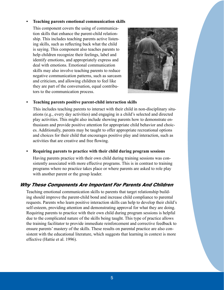#### **• Teaching parents emotional communication skills**

This component covers the using of communication skills that enhance the parent-child relationship. This includes teaching parents active listening skills, such as reflecting back what the child is saying. This component also teaches parents to help children recognize their feelings, label and identify emotions, and appropriately express and deal with emotions. Emotional communication skills may also involve teaching parents to reduce negative communication patterns, such as sarcasm and criticism, and allowing children to feel like they are part of the conversation, equal contributors to the communication process.



#### **• Teaching parents positive parent-child interaction skills**

This includes teaching parents to interact with their child in non-disciplinary situations (e.g., every day activities) and engaging in a child's selected and directed play activities. This might also include showing parents how to demonstrate enthusiasm and provide positive attention for appropriate child behavior and choices. Additionally, parents may be taught to offer appropriate recreational options and choices for their child that encourages positive play and interaction, such as activities that are creative and free flowing.

## **• Requiring parents to practice with their child during program sessions**

Having parents practice with their own child during training sessions was consistently associated with more effective programs. This is in contrast to training programs where no practice takes place or where parents are asked to role play with another parent or the group leader.

## Why These Components Are Important For Parents And Children

Teaching emotional communication skills to parents that target relationship building should improve the parent-child bond and increase child compliance to parental requests. Parents who learn positive interaction skills can help to develop their child's self-esteem, providing attention and demonstrating approval for what they are doing. Requiring parents to practice with their own child during program sessions is helpful due to the complicated nature of the skills being taught. This type of practice allows the training facilitator to provide immediate reinforcement and corrective feedback to ensure parents' mastery of the skills. These results on parental practice are also consistent with the educational literature, which suggests that learning in context is more effective (Hattie et al. 1996).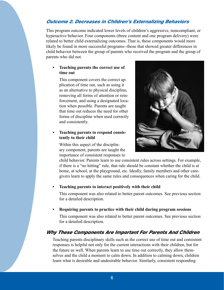## Outcome 2. Decreases in Children's Externalizing Behaviors

This program outcome indicated lower levels of children's aggressive, noncompliant, or hyperactive behavior. Four components (three content and one program delivery) were related to better child externalizing outcomes. That is, these components would more likely be found in more successful programs--those that showed greater differences in child behavior between the group of parents who received the program and the group of parents who did not.

#### **• Teaching parents the correct use of time out**

This component covers the correct application of time out, such as using it as an alternative to physical discipline, removing all forms of attention or reinforcement, and using a designated location when possible. Parents are taught that time out reduces the need for other forms of discipline when used correctly and consistently.

#### **• Teaching parents to respond consistently to their child**

Within this aspect of the disciplinary component, parents are taught the importance of consistent responses to



child behavior. Parents learn to use consistent rules across settings. For example, if there is a "no hitting" rule, that rule should be constant whether the child is at home, at school, at the playground, etc. Ideally, family members and other caregivers learn to apply the same rules and consequences when caring for the child.

## **• Teaching parents to interact positively with their child**

This component was also related to better parent outcomes. See previous section for a detailed description.

## **• Requiring parents to practice with their child during program sessions**

This component was also related to better parent outcomes. See previous section for a detailed description.

## Why These Components Are Important For Parents And Children

Teaching parents disciplinary skills such as the correct use of time out and consistent responses is helpful not only for the current interactions with their children, but for the future as well. When parents learn to use time out correctly, they allow themselves and the child a moment to calm down. In addition to calming down, children learn what is desirable and undesirable behavior. Similarly, consistent responding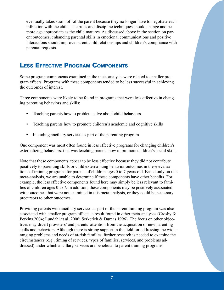eventually takes strain off of the parent because they no longer have to negotiate each infraction with the child. The rules and discipline techniques should change and be more age appropriate as the child matures. As discussed above in the section on parent outcomes, enhancing parental skills in emotional communications and positive interactions should improve parent child relationships and children's compliance with parental requests.

# LESS EFFECTIVE PROGRAM COMPONENTS

Some program components examined in the meta-analysis were related to smaller program effects. Programs with these components tended to be less successful in achieving the outcomes of interest.

Three components were likely to be found in programs that were less effective in changing parenting behaviors and skills:

- **•** Teaching parents how to problem solve about child behaviors
- **•** Teaching parents how to promote children's academic and cognitive skills
- **•** Including ancillary services as part of the parenting program

One component was most often found in less effective programs for changing children's externalizing behaviors: that was teaching parents how to promote children's social skills.

Note that these components appear to be less effective because they did not contribute positively to parenting skills or child externalizing behavior outcomes in these evaluations of training programs for parents of children ages 0 to 7 years old. Based only on this meta-analysis, we are unable to determine if these components have other benefits. For example, the less effective components found here may simply be less relevant to families of children ages 0 to 7. In addition, these components may be positively associated with outcomes that were not examined in this meta-analysis, or they could be necessary precursors to other outcomes.

Providing parents with ancillary services as part of the parent training program was also associated with smaller program effects, a result found in other meta-analyses (Crosby & Perkins 2004; Lundahl et al. 2006; Serketich & Dumas 1996). The focus on other objectives may divert providers' and parents' attention from the acquisition of new parenting skills and behaviors. Although there is strong support in the field for addressing the wideranging problems and needs of at-risk families, further research is needed to examine the circumstances (e.g., timing of services, types of families, services, and problems addressed) under which ancillary services are beneficial to parent training programs.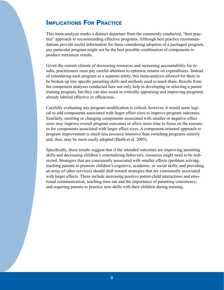# **IMPLICATIONS FOR PRACTICE**

This meta-analysis marks a distinct departure from the commonly conducted, "best practice" approach to recommending effective programs. Although best practice recommendations provide useful information for those considering adoption of a packaged program, any particular program might not be the best possible combination of components to produce maximum results.

Given the current climate of decreasing resources and increasing accountability for results, practitioners must pay careful attention to optimize returns on expenditures. Instead of considering each program as a separate entity, this meta-analysis allowed for them to be broken up into specific parenting skills and methods used to teach them. Results from the component analyses conducted here not only help in developing or selecting a parent training program, but they can also assist in critically appraising and improving programs already labeled effective or efficacious.

Carefully evaluating any program modification is critical; however, it would seem logical to add components associated with larger effect sizes to improve program outcomes. Similarly, omitting or changing components associated with smaller or negative effect sizes may improve overall program outcomes or allow more time to focus on the resources for components associated with larger effect sizes. A component-oriented approach to program improvement is much less resource intensive than switching programs entirely and, thus, may be more easily adopted (Barth et al. 2005).

Specifically, these results suggest that if the intended outcomes are improving parenting skills and decreasing children's externalizing behaviors, resources might need to be redirected. Strategies that are consistently associated with smaller effects (problem solving; teaching parents to promote children's cognitive, academic, or social skills; and providing an array of other services) should shift toward strategies that are consistently associated with larger effects. These include increasing positive parent-child interactions and emotional communication; teaching time out and the importance of parenting consistency; and requiring parents to practice new skills with their children during training.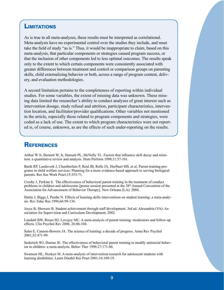## **LIMITATIONS**

As is true in all meta-analyses, these results must be interpreted as correlational. Meta-analysts have no experimental control over the studies they include, and must take the field of study "as is." Thus, it would be inappropriate to claim, based on this meta-analysis, that particular components or strategies caused program success, or that the inclusion of other components led to less optimal outcomes. The results speak only to the extent to which certain components were consistently associated with greater differences between treatment and control or comparison groups on parenting skills, child externalizing behavior or both, across a range of program content, delivery, and evaluation methodologies.

A second limitation pertains to the completeness of reporting within individual studies. For some variables, the extent of missing data was unknown. These missing data limited the researcher's ability to conduct analyses of great interest such as intervention dosage, study refusal and attrition, participant characteristics, intervention location, and facilitator/provider qualifications. Other variables not mentioned in the article, especially those related to program components and strategies, were coded as a lack of use. The extent to which program characteristics were not reported is, of course, unknown, as are the effects of such under-reporting on the results.

## **REFERENCES**

Arthur W Jr, Bennett W, Jr, Stanush PL, McNelly TL. Factors that influence skill decay and retention: a quantitative review and analysis. Hum Perform 1998;11:57-101.

Barth RP, Landsverk J, Chamberlain P, Reid JB, Rolls JA, Hurlburt MS, et al. Parent-training programs in child welfare services: Planning for a more evidence-based approach to serving biological parents. Res Soc Work Pract;15:353-71.

Crosby J, Perkins S. The effectiveness of behavioral parent training in the treatment of conduct problems in children and adolescents [poster session presented at the 38<sup>th</sup> Annual Convention of the Association for Advancement of Behavior Therapy]. New Orleans (LA): 2004.

Hattie J, Biggs J, Purdie N. Effects of learning skills interventions on student learning: a meta-analysis. Rev Educ Res 1996;66:99-136.

Joyce B, Showers B. Student achievement through staff development. 3rd ed. Alexandria (VA): Association for Supervision and Curriculum Development; 2002.

Lundahl BW, Risser HJ, Lovejoy MC. A meta-analysis of parent training: moderators and follow-up effects. Clin Psychol Rev 2006; 26:86-104.

Salas E, Cannon-Bowers JA. The science of training: a decade of progress. Annu Rev Psychol 2001;52:471-99.

Serketich WJ, Dumas JE. The effectiveness of behavioral parent training to modify antisocial behavior in children: a meta-analysis. Behav Ther 1996:27:171-86.

Swanson HL, Hoskyn M. A meta-analysis of intervention research for adolescent students with learning disabilities*.* Learn Disabil Res Pract 2001;16:109-19.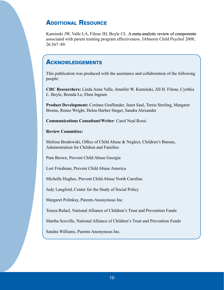# **ADDITIONAL RESOURCE**

Kaminski JW, Valle LA, Filene JH, Boyle CL. A meta-analytic review of components associated with parent training program effectiveness. JAbnorm Child Psychol 2008; 26:567–89.

## **ACKNOWLEDGEMENTS**

This publication was produced with the assistance and collaboration of the following people:

**CDC Researchers:** Linda Anne Valle, Jennifer W. Kaminski, Jill H. Filene, Cynthia L. Boyle, Brenda Le, Eben Ingram

**Product Development:** Corinne Graffunder, Janet Saul, Terrie Sterling, Margaret Brome, Renee Wright, Helen Harber Singer, Sandra Alexander

**Communications Consultant/Writer**: Carol Neal Rossi

#### **Review Committee:**

Melissa Brodowski, Office of Child Abuse & Neglect, Children's Bureau, Administration for Children and Families

Pam Brown, Prevent Child Abuse Georgia

Lori Friedman, Prevent Child Abuse America

Michelle Hughes, Prevent Child Abuse North Carolina

Judy Langford, Center for the Study of Social Policy

Margaret Polinksy, Parents Anonymous Inc.

Teresa Rafael, National Alliance of Children's Trust and Prevention Funds

Martha Scoville, National Alliance of Children's Trust and Prevention Funds

Sandra Williams, Parents Anonymous Inc.